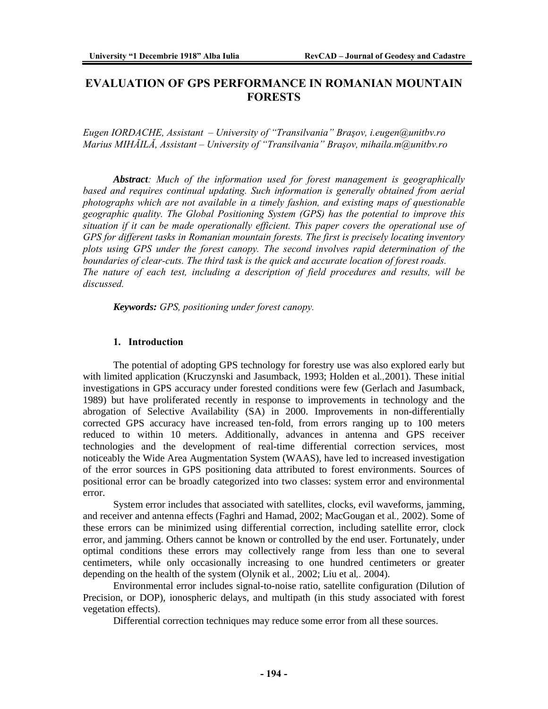# **EVALUATION OF GPS PERFORMANCE IN ROMANIAN MOUNTAIN FORESTS**

*Eugen IORDACHE, Assistant – University of "Transilvania" Braşov, i.eugen@unitbv.ro Marius MIHĂILĂ, Assistant – University of "Transilvania" Braşov, mihaila.m@unitbv.ro* 

*Abstract: Much of the information used for forest management is geographically based and requires continual updating. Such information is generally obtained from aerial photographs which are not available in a timely fashion, and existing maps of questionable geographic quality. The Global Positioning System (GPS) has the potential to improve this situation if it can be made operationally efficient. This paper covers the operational use of GPS for different tasks in Romanian mountain forests. The first is precisely locating inventory plots using GPS under the forest canopy. The second involves rapid determination of the boundaries of clear-cuts. The third task is the quick and accurate location of forest roads. The nature of each test, including a description of field procedures and results, will be discussed.* 

*Keywords: GPS, positioning under forest canopy.* 

### **1. Introduction**

The potential of adopting GPS technology for forestry use was also explored early but with limited application (Kruczynski and Jasumback, 1993; Holden et al*.,*2001). These initial investigations in GPS accuracy under forested conditions were few (Gerlach and Jasumback, 1989) but have proliferated recently in response to improvements in technology and the abrogation of Selective Availability (SA) in 2000. Improvements in non-differentially corrected GPS accuracy have increased ten-fold, from errors ranging up to 100 meters reduced to within 10 meters. Additionally, advances in antenna and GPS receiver technologies and the development of real-time differential correction services, most noticeably the Wide Area Augmentation System (WAAS), have led to increased investigation of the error sources in GPS positioning data attributed to forest environments. Sources of positional error can be broadly categorized into two classes: system error and environmental error.

System error includes that associated with satellites, clocks, evil waveforms, jamming, and receiver and antenna effects (Faghri and Hamad, 2002; MacGougan et al*.,* 2002). Some of these errors can be minimized using differential correction, including satellite error, clock error, and jamming. Others cannot be known or controlled by the end user. Fortunately, under optimal conditions these errors may collectively range from less than one to several centimeters, while only occasionally increasing to one hundred centimeters or greater depending on the health of the system (Olynik et al*.,* 2002; Liu et al*,.* 2004).

Environmental error includes signal-to-noise ratio, satellite configuration (Dilution of Precision, or DOP), ionospheric delays, and multipath (in this study associated with forest vegetation effects).

Differential correction techniques may reduce some error from all these sources.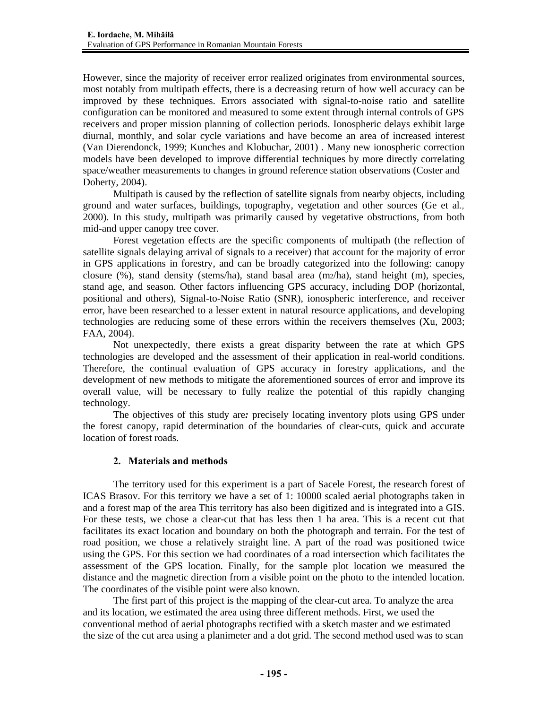However, since the majority of receiver error realized originates from environmental sources, most notably from multipath effects, there is a decreasing return of how well accuracy can be improved by these techniques. Errors associated with signal-to-noise ratio and satellite configuration can be monitored and measured to some extent through internal controls of GPS receivers and proper mission planning of collection periods. Ionospheric delays exhibit large diurnal, monthly, and solar cycle variations and have become an area of increased interest (Van Dierendonck, 1999; Kunches and Klobuchar, 2001) . Many new ionospheric correction models have been developed to improve differential techniques by more directly correlating space/weather measurements to changes in ground reference station observations (Coster and Doherty, 2004).

Multipath is caused by the reflection of satellite signals from nearby objects, including ground and water surfaces, buildings, topography, vegetation and other sources (Ge et al*.,*  2000). In this study, multipath was primarily caused by vegetative obstructions, from both mid-and upper canopy tree cover.

Forest vegetation effects are the specific components of multipath (the reflection of satellite signals delaying arrival of signals to a receiver) that account for the majority of error in GPS applications in forestry, and can be broadly categorized into the following: canopy closure (%), stand density (stems/ha), stand basal area (m2/ha), stand height (m), species, stand age, and season. Other factors influencing GPS accuracy, including DOP (horizontal, positional and others), Signal-to-Noise Ratio (SNR), ionospheric interference, and receiver error, have been researched to a lesser extent in natural resource applications, and developing technologies are reducing some of these errors within the receivers themselves (Xu, 2003; FAA, 2004).

Not unexpectedly, there exists a great disparity between the rate at which GPS technologies are developed and the assessment of their application in real-world conditions. Therefore, the continual evaluation of GPS accuracy in forestry applications, and the development of new methods to mitigate the aforementioned sources of error and improve its overall value, will be necessary to fully realize the potential of this rapidly changing technology.

The objectives of this study are*:* precisely locating inventory plots using GPS under the forest canopy, rapid determination of the boundaries of clear-cuts, quick and accurate location of forest roads.

### **2. Materials and methods**

The territory used for this experiment is a part of Sacele Forest, the research forest of ICAS Brasov. For this territory we have a set of 1: 10000 scaled aerial photographs taken in and a forest map of the area This territory has also been digitized and is integrated into a GIS. For these tests, we chose a clear-cut that has less then 1 ha area. This is a recent cut that facilitates its exact location and boundary on both the photograph and terrain. For the test of road position, we chose a relatively straight line. A part of the road was positioned twice using the GPS. For this section we had coordinates of a road intersection which facilitates the assessment of the GPS location. Finally, for the sample plot location we measured the distance and the magnetic direction from a visible point on the photo to the intended location. The coordinates of the visible point were also known.

The first part of this project is the mapping of the clear-cut area. To analyze the area and its location, we estimated the area using three different methods. First, we used the conventional method of aerial photographs rectified with a sketch master and we estimated the size of the cut area using a planimeter and a dot grid. The second method used was to scan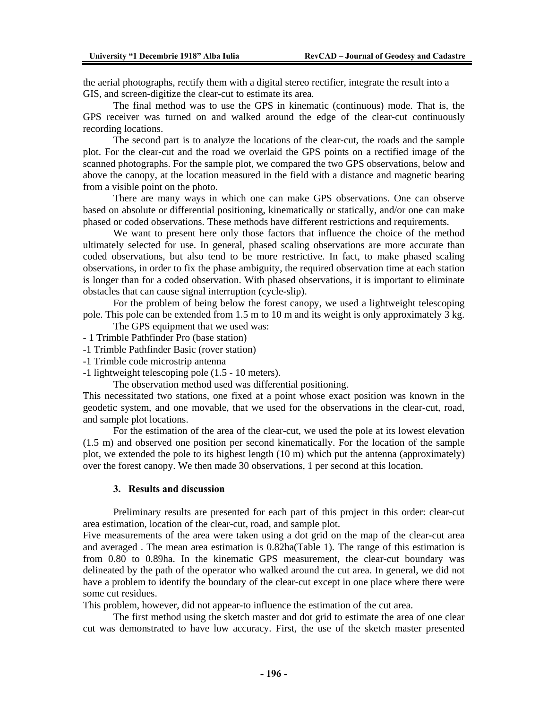the aerial photographs, rectify them with a digital stereo rectifier, integrate the result into a GIS, and screen-digitize the clear-cut to estimate its area.

The final method was to use the GPS in kinematic (continuous) mode. That is, the GPS receiver was turned on and walked around the edge of the clear-cut continuously recording locations.

The second part is to analyze the locations of the clear-cut, the roads and the sample plot. For the clear-cut and the road we overlaid the GPS points on a rectified image of the scanned photographs. For the sample plot, we compared the two GPS observations, below and above the canopy, at the location measured in the field with a distance and magnetic bearing from a visible point on the photo.

There are many ways in which one can make GPS observations. One can observe based on absolute or differential positioning, kinematically or statically, and/or one can make phased or coded observations. These methods have different restrictions and requirements.

We want to present here only those factors that influence the choice of the method ultimately selected for use. In general, phased scaling observations are more accurate than coded observations, but also tend to be more restrictive. In fact, to make phased scaling observations, in order to fix the phase ambiguity, the required observation time at each station is longer than for a coded observation. With phased observations, it is important to eliminate obstacles that can cause signal interruption (cycle-slip).

For the problem of being below the forest canopy, we used a lightweight telescoping pole. This pole can be extended from 1.5 m to 10 m and its weight is only approximately 3 kg.

The GPS equipment that we used was:

- 1 Trimble Pathfinder Pro (base station)
- -1 Trimble Pathfinder Basic (rover station)
- -1 Trimble code microstrip antenna

-1 lightweight telescoping pole (1.5 - 10 meters).

The observation method used was differential positioning.

This necessitated two stations, one fixed at a point whose exact position was known in the geodetic system, and one movable, that we used for the observations in the clear-cut, road, and sample plot locations.

For the estimation of the area of the clear-cut, we used the pole at its lowest elevation (1.5 m) and observed one position per second kinematically. For the location of the sample plot, we extended the pole to its highest length (10 m) which put the antenna (approximately) over the forest canopy. We then made 30 observations, 1 per second at this location.

#### **3. Results and discussion**

Preliminary results are presented for each part of this project in this order: clear-cut area estimation, location of the clear-cut, road, and sample plot.

Five measurements of the area were taken using a dot grid on the map of the clear-cut area and averaged . The mean area estimation is 0.82ha(Table 1). The range of this estimation is from 0.80 to 0.89ha. In the kinematic GPS measurement, the clear-cut boundary was delineated by the path of the operator who walked around the cut area. In general, we did not have a problem to identify the boundary of the clear-cut except in one place where there were some cut residues.

This problem, however, did not appear-to influence the estimation of the cut area.

The first method using the sketch master and dot grid to estimate the area of one clear cut was demonstrated to have low accuracy. First, the use of the sketch master presented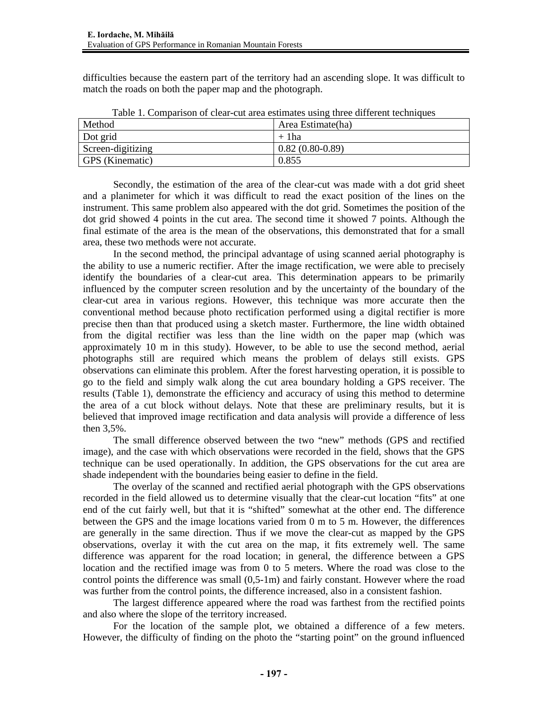difficulties because the eastern part of the territory had an ascending slope. It was difficult to match the roads on both the paper map and the photograph.

| Method            | Area Estimate(ha) |
|-------------------|-------------------|
| Dot grid          | $+$ 1 ha          |
| Screen-digitizing | $0.82(0.80-0.89)$ |
| GPS (Kinematic)   | 0.855             |

Table 1. Comparison of clear-cut area estimates using three different techniques

Secondly, the estimation of the area of the clear-cut was made with a dot grid sheet and a planimeter for which it was difficult to read the exact position of the lines on the instrument. This same problem also appeared with the dot grid. Sometimes the position of the dot grid showed 4 points in the cut area. The second time it showed 7 points. Although the final estimate of the area is the mean of the observations, this demonstrated that for a small area, these two methods were not accurate.

In the second method, the principal advantage of using scanned aerial photography is the ability to use a numeric rectifier. After the image rectification, we were able to precisely identify the boundaries of a clear-cut area. This determination appears to be primarily influenced by the computer screen resolution and by the uncertainty of the boundary of the clear-cut area in various regions. However, this technique was more accurate then the conventional method because photo rectification performed using a digital rectifier is more precise then than that produced using a sketch master. Furthermore, the line width obtained from the digital rectifier was less than the line width on the paper map (which was approximately 10 m in this study). However, to be able to use the second method, aerial photographs still are required which means the problem of delays still exists. GPS observations can eliminate this problem. After the forest harvesting operation, it is possible to go to the field and simply walk along the cut area boundary holding a GPS receiver. The results (Table 1), demonstrate the efficiency and accuracy of using this method to determine the area of a cut block without delays. Note that these are preliminary results, but it is believed that improved image rectification and data analysis will provide a difference of less then 3,5%.

The small difference observed between the two "new" methods (GPS and rectified image), and the case with which observations were recorded in the field, shows that the GPS technique can be used operationally. In addition, the GPS observations for the cut area are shade independent with the boundaries being easier to define in the field.

The overlay of the scanned and rectified aerial photograph with the GPS observations recorded in the field allowed us to determine visually that the clear-cut location "fits" at one end of the cut fairly well, but that it is "shifted" somewhat at the other end. The difference between the GPS and the image locations varied from 0 m to 5 m. However, the differences are generally in the same direction. Thus if we move the clear-cut as mapped by the GPS observations, overlay it with the cut area on the map, it fits extremely well. The same difference was apparent for the road location; in general, the difference between a GPS location and the rectified image was from 0 to 5 meters. Where the road was close to the control points the difference was small (0,5-1m) and fairly constant. However where the road was further from the control points, the difference increased, also in a consistent fashion.

The largest difference appeared where the road was farthest from the rectified points and also where the slope of the territory increased.

For the location of the sample plot, we obtained a difference of a few meters. However, the difficulty of finding on the photo the "starting point" on the ground influenced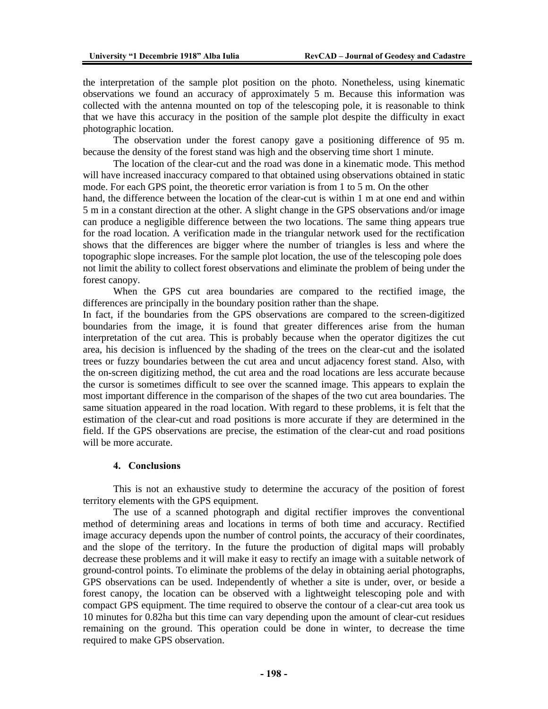the interpretation of the sample plot position on the photo. Nonetheless, using kinematic observations we found an accuracy of approximately 5 m. Because this information was collected with the antenna mounted on top of the telescoping pole, it is reasonable to think that we have this accuracy in the position of the sample plot despite the difficulty in exact photographic location.

The observation under the forest canopy gave a positioning difference of 95 m. because the density of the forest stand was high and the observing time short 1 minute.

The location of the clear-cut and the road was done in a kinematic mode. This method will have increased inaccuracy compared to that obtained using observations obtained in static mode. For each GPS point, the theoretic error variation is from 1 to 5 m. On the other hand, the difference between the location of the clear-cut is within 1 m at one end and within 5 m in a constant direction at the other. A slight change in the GPS observations and/or image can produce a negligible difference between the two locations. The same thing appears true for the road location. A verification made in the triangular network used for the rectification shows that the differences are bigger where the number of triangles is less and where the topographic slope increases. For the sample plot location, the use of the telescoping pole does not limit the ability to collect forest observations and eliminate the problem of being under the forest canopy.

When the GPS cut area boundaries are compared to the rectified image, the differences are principally in the boundary position rather than the shape.

In fact, if the boundaries from the GPS observations are compared to the screen-digitized boundaries from the image, it is found that greater differences arise from the human interpretation of the cut area. This is probably because when the operator digitizes the cut area, his decision is influenced by the shading of the trees on the clear-cut and the isolated trees or fuzzy boundaries between the cut area and uncut adjacency forest stand. Also, with the on-screen digitizing method, the cut area and the road locations are less accurate because the cursor is sometimes difficult to see over the scanned image. This appears to explain the most important difference in the comparison of the shapes of the two cut area boundaries. The same situation appeared in the road location. With regard to these problems, it is felt that the estimation of the clear-cut and road positions is more accurate if they are determined in the field. If the GPS observations are precise, the estimation of the clear-cut and road positions will be more accurate.

#### **4. Conclusions**

This is not an exhaustive study to determine the accuracy of the position of forest territory elements with the GPS equipment.

The use of a scanned photograph and digital rectifier improves the conventional method of determining areas and locations in terms of both time and accuracy. Rectified image accuracy depends upon the number of control points, the accuracy of their coordinates, and the slope of the territory. In the future the production of digital maps will probably decrease these problems and it will make it easy to rectify an image with a suitable network of ground-control points. To eliminate the problems of the delay in obtaining aerial photographs, GPS observations can be used. Independently of whether a site is under, over, or beside a forest canopy, the location can be observed with a lightweight telescoping pole and with compact GPS equipment. The time required to observe the contour of a clear-cut area took us 10 minutes for 0.82ha but this time can vary depending upon the amount of clear-cut residues remaining on the ground. This operation could be done in winter, to decrease the time required to make GPS observation.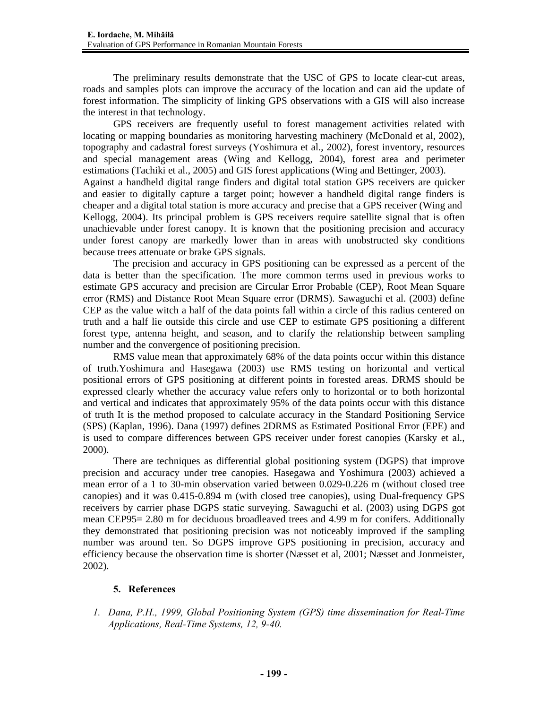The preliminary results demonstrate that the USC of GPS to locate clear-cut areas, roads and samples plots can improve the accuracy of the location and can aid the update of forest information. The simplicity of linking GPS observations with a GIS will also increase the interest in that technology.

GPS receivers are frequently useful to forest management activities related with locating or mapping boundaries as monitoring harvesting machinery (McDonald et al, 2002), topography and cadastral forest surveys (Yoshimura et al., 2002), forest inventory, resources and special management areas (Wing and Kellogg, 2004), forest area and perimeter estimations (Tachiki et al., 2005) and GIS forest applications (Wing and Bettinger, 2003). Against a handheld digital range finders and digital total station GPS receivers are quicker and easier to digitally capture a target point; however a handheld digital range finders is cheaper and a digital total station is more accuracy and precise that a GPS receiver (Wing and Kellogg, 2004). Its principal problem is GPS receivers require satellite signal that is often unachievable under forest canopy. It is known that the positioning precision and accuracy under forest canopy are markedly lower than in areas with unobstructed sky conditions because trees attenuate or brake GPS signals.

The precision and accuracy in GPS positioning can be expressed as a percent of the data is better than the specification. The more common terms used in previous works to estimate GPS accuracy and precision are Circular Error Probable (CEP), Root Mean Square error (RMS) and Distance Root Mean Square error (DRMS). Sawaguchi et al. (2003) define CEP as the value witch a half of the data points fall within a circle of this radius centered on truth and a half lie outside this circle and use CEP to estimate GPS positioning a different forest type, antenna height, and season, and to clarify the relationship between sampling number and the convergence of positioning precision.

RMS value mean that approximately 68% of the data points occur within this distance of truth.Yoshimura and Hasegawa (2003) use RMS testing on horizontal and vertical positional errors of GPS positioning at different points in forested areas. DRMS should be expressed clearly whether the accuracy value refers only to horizontal or to both horizontal and vertical and indicates that approximately 95% of the data points occur with this distance of truth It is the method proposed to calculate accuracy in the Standard Positioning Service (SPS) (Kaplan, 1996). Dana (1997) defines 2DRMS as Estimated Positional Error (EPE) and is used to compare differences between GPS receiver under forest canopies (Karsky et al., 2000).

There are techniques as differential global positioning system (DGPS) that improve precision and accuracy under tree canopies. Hasegawa and Yoshimura (2003) achieved a mean error of a 1 to 30-min observation varied between 0.029-0.226 m (without closed tree canopies) and it was 0.415-0.894 m (with closed tree canopies), using Dual-frequency GPS receivers by carrier phase DGPS static surveying. Sawaguchi et al. (2003) using DGPS got mean CEP95= 2.80 m for deciduous broadleaved trees and 4.99 m for conifers. Additionally they demonstrated that positioning precision was not noticeably improved if the sampling number was around ten. So DGPS improve GPS positioning in precision, accuracy and efficiency because the observation time is shorter (Næsset et al, 2001; Næsset and Jonmeister, 2002).

## **5. References**

*1. Dana, P.H., 1999, Global Positioning System (GPS) time dissemination for Real-Time Applications, Real-Time Systems, 12, 9-40.*